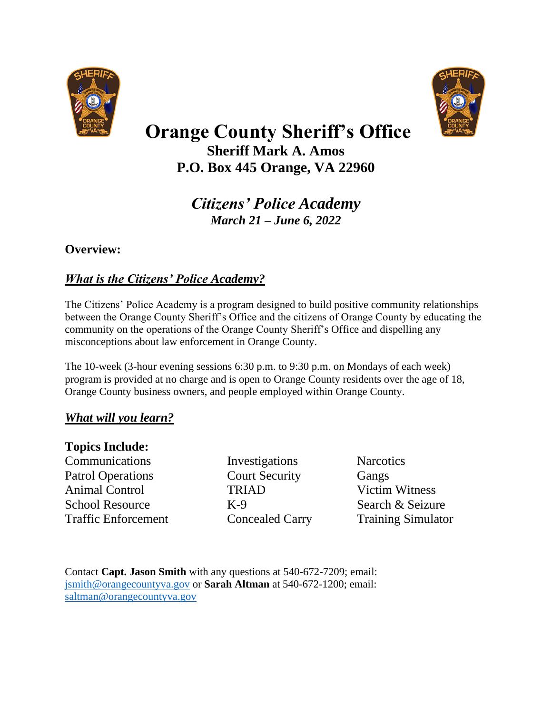



# **Orange County Sheriff's Office Sheriff Mark A. Amos**

**P.O. Box 445 Orange, VA 22960**

*Citizens' Police Academy March 21 – June 6, 2022*

#### **Overview:**

### *What is the Citizens' Police Academy?*

The Citizens' Police Academy is a program designed to build positive community relationships between the Orange County Sheriff's Office and the citizens of Orange County by educating the community on the operations of the Orange County Sheriff's Office and dispelling any misconceptions about law enforcement in Orange County.

The 10-week (3-hour evening sessions 6:30 p.m. to 9:30 p.m. on Mondays of each week) program is provided at no charge and is open to Orange County residents over the age of 18, Orange County business owners, and people employed within Orange County.

### *What will you learn?*

#### **Topics Include:**

Communications Investigations Narcotics Patrol Operations Court Security Gangs Animal Control TRIAD Victim Witness School Resource K-9 Search & Seizure Traffic Enforcement Concealed Carry Training Simulator

Contact **Capt. Jason Smith** with any questions at 540-672-7209; email: [jsmith@orangecountyva.gov](mailto:jsmith@orangecountyva.gov) or **Sarah Altman** at 540-672-1200; email: [saltman@orangecountyva.gov](mailto:saltman@orangecountyva.gov)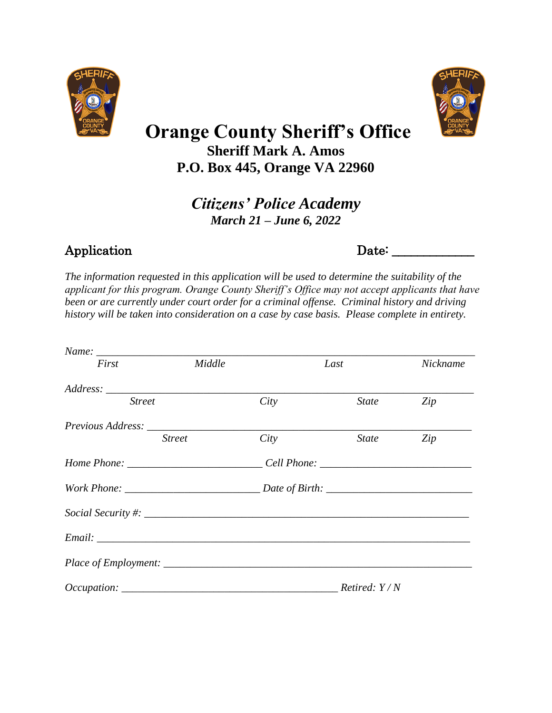



 **Orange County Sheriff's Office** 

**Sheriff Mark A. Amos P.O. Box 445, Orange VA 22960**

> *Citizens' Police Academy March 21 – June 6, 2022*

## Application Date: \_\_\_\_\_\_\_\_\_\_\_\_\_

*The information requested in this application will be used to determine the suitability of the applicant for this program. Orange County Sheriff's Office may not accept applicants that have been or are currently under court order for a criminal offense. Criminal history and driving history will be taken into consideration on a case by case basis. Please complete in entirety.* 

| First                                                                            | Middle        |      | Last                             | Nickname |
|----------------------------------------------------------------------------------|---------------|------|----------------------------------|----------|
|                                                                                  |               |      |                                  |          |
| <b>Street</b>                                                                    |               | City | <i>State</i>                     | Zip      |
|                                                                                  |               |      |                                  |          |
|                                                                                  | <b>Street</b> | City | State                            | Zip      |
| Home Phone: ____________________________Cell Phone: ____________________________ |               |      |                                  |          |
|                                                                                  |               |      |                                  |          |
|                                                                                  |               |      |                                  |          |
|                                                                                  |               |      |                                  |          |
|                                                                                  |               |      |                                  |          |
|                                                                                  |               |      | <i>Retired: <math>Y/N</math></i> |          |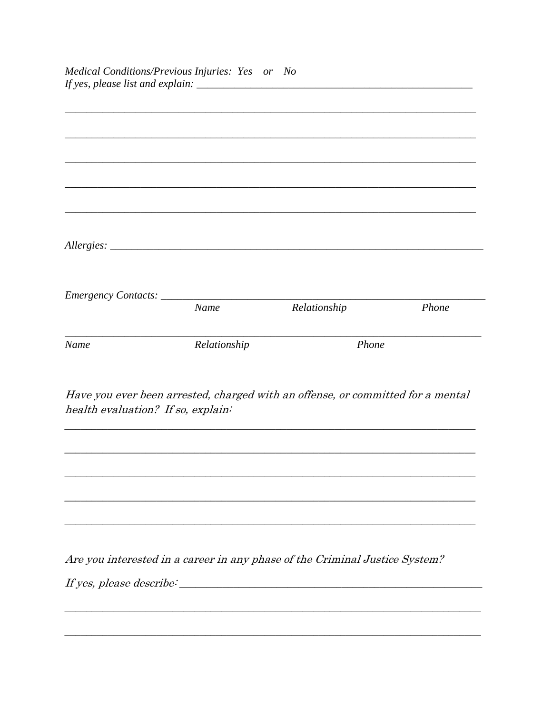|             | <b>Name</b>                                                                     | Relationship | Phone |
|-------------|---------------------------------------------------------------------------------|--------------|-------|
| <b>Name</b> | Relationship                                                                    | Phone        |       |
|             |                                                                                 |              |       |
|             |                                                                                 |              |       |
|             | Have you ever been arrested, charged with an offense, or committed for a mental |              |       |

Are you interested in a career in any phase of the Criminal Justice System?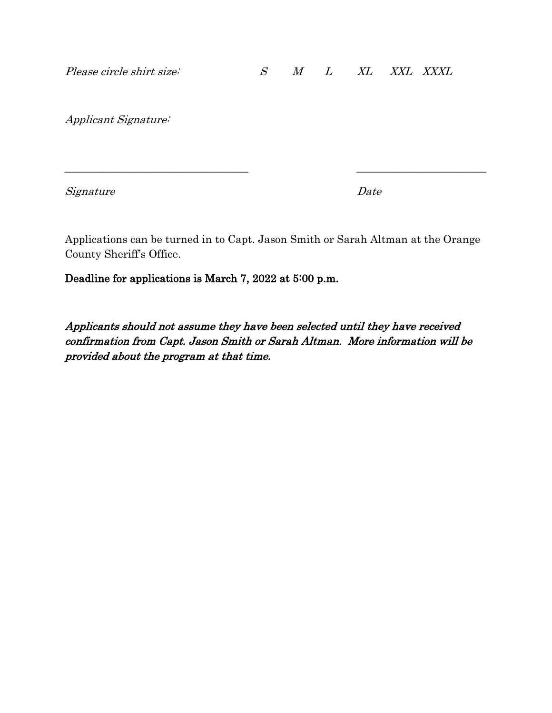Applicant Signature:

Signature Date

Applications can be turned in to Capt. Jason Smith or Sarah Altman at the Orange County Sheriff's Office.

\_\_\_\_\_\_\_\_\_\_\_\_\_\_\_\_\_\_\_\_\_\_\_\_\_\_\_\_\_\_\_\_\_\_ \_\_\_\_\_\_\_\_\_\_\_\_\_\_\_\_\_\_\_\_\_\_\_\_

Deadline for applications is March 7, 2022 at 5:00 p.m.

Applicants should not assume they have been selected until they have received confirmation from Capt. Jason Smith or Sarah Altman. More information will be provided about the program at that time.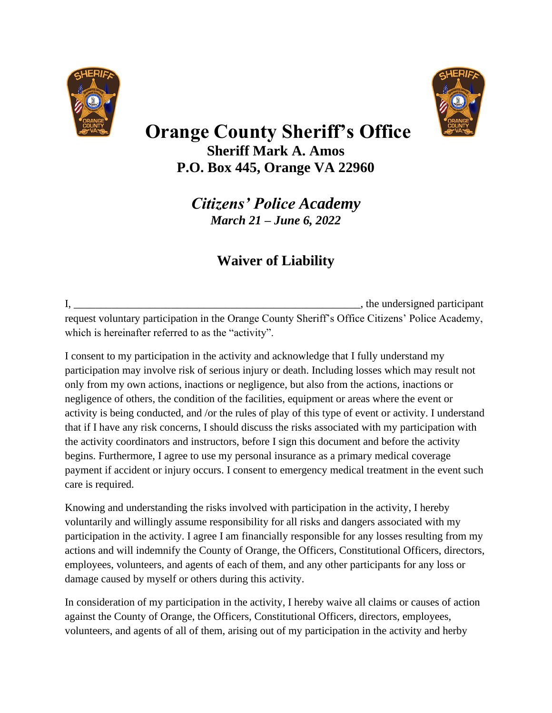



# **Orange County Sheriff's Office Sheriff Mark A. Amos P.O. Box 445, Orange VA 22960**

*Citizens' Police Academy March 21 – June 6, 2022*

## **Waiver of Liability**

I,  $\frac{1}{2}$  is the undersigned participant request voluntary participation in the Orange County Sheriff's Office Citizens' Police Academy, which is hereinafter referred to as the "activity".

I consent to my participation in the activity and acknowledge that I fully understand my participation may involve risk of serious injury or death. Including losses which may result not only from my own actions, inactions or negligence, but also from the actions, inactions or negligence of others, the condition of the facilities, equipment or areas where the event or activity is being conducted, and /or the rules of play of this type of event or activity. I understand that if I have any risk concerns, I should discuss the risks associated with my participation with the activity coordinators and instructors, before I sign this document and before the activity begins. Furthermore, I agree to use my personal insurance as a primary medical coverage payment if accident or injury occurs. I consent to emergency medical treatment in the event such care is required.

Knowing and understanding the risks involved with participation in the activity, I hereby voluntarily and willingly assume responsibility for all risks and dangers associated with my participation in the activity. I agree I am financially responsible for any losses resulting from my actions and will indemnify the County of Orange, the Officers, Constitutional Officers, directors, employees, volunteers, and agents of each of them, and any other participants for any loss or damage caused by myself or others during this activity.

In consideration of my participation in the activity, I hereby waive all claims or causes of action against the County of Orange, the Officers, Constitutional Officers, directors, employees, volunteers, and agents of all of them, arising out of my participation in the activity and herby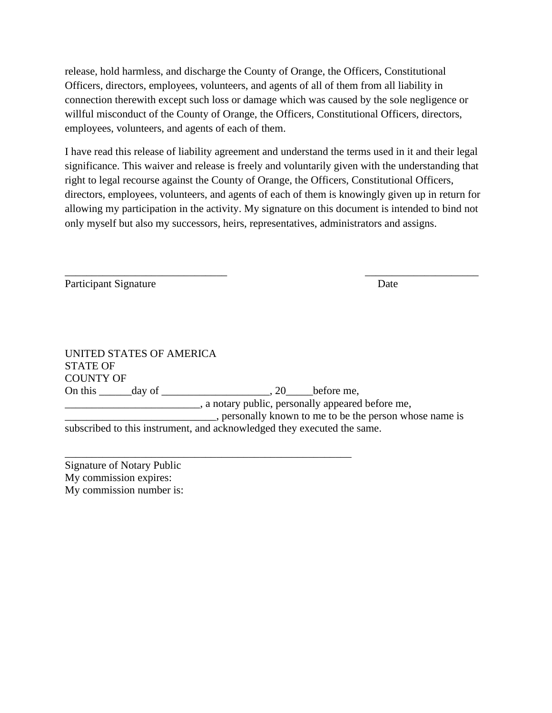release, hold harmless, and discharge the County of Orange, the Officers, Constitutional Officers, directors, employees, volunteers, and agents of all of them from all liability in connection therewith except such loss or damage which was caused by the sole negligence or willful misconduct of the County of Orange, the Officers, Constitutional Officers, directors, employees, volunteers, and agents of each of them.

I have read this release of liability agreement and understand the terms used in it and their legal significance. This waiver and release is freely and voluntarily given with the understanding that right to legal recourse against the County of Orange, the Officers, Constitutional Officers, directors, employees, volunteers, and agents of each of them is knowingly given up in return for allowing my participation in the activity. My signature on this document is intended to bind not only myself but also my successors, heirs, representatives, administrators and assigns.

\_\_\_\_\_\_\_\_\_\_\_\_\_\_\_\_\_\_\_\_\_\_\_\_\_\_\_\_\_\_ \_\_\_\_\_\_\_\_\_\_\_\_\_\_\_\_\_\_\_\_\_

Participant Signature Date

UNITED STATES OF AMERICA STATE OF COUNTY OF On this day of  $\qquad \qquad$  20 before me, \_\_\_\_\_\_\_\_\_\_\_\_\_\_\_\_, a notary public, personally appeared before me, \_\_\_\_\_\_\_\_\_\_\_\_\_\_\_\_\_\_\_\_\_\_\_\_\_\_\_\_, personally known to me to be the person whose name is subscribed to this instrument, and acknowledged they executed the same.

\_\_\_\_\_\_\_\_\_\_\_\_\_\_\_\_\_\_\_\_\_\_\_\_\_\_\_\_\_\_\_\_\_\_\_\_\_\_\_\_\_\_\_\_\_\_\_\_\_\_\_\_\_

Signature of Notary Public My commission expires: My commission number is: